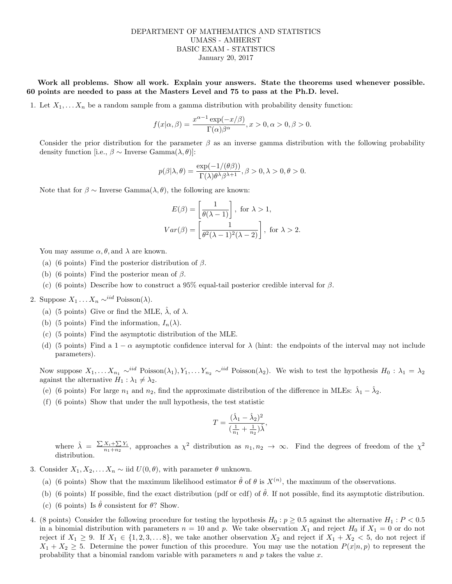## DEPARTMENT OF MATHEMATICS AND STATISTICS UMASS - AMHERST BASIC EXAM - STATISTICS January 20, 2017

Work all problems. Show all work. Explain your answers. State the theorems used whenever possible. 60 points are needed to pass at the Masters Level and 75 to pass at the Ph.D. level.

1. Let  $X_1, \ldots, X_n$  be a random sample from a gamma distribution with probability density function:

$$
f(x|\alpha, \beta) = \frac{x^{\alpha - 1} \exp(-x/\beta)}{\Gamma(\alpha)\beta^{\alpha}}, x > 0, \alpha > 0, \beta > 0.
$$

Consider the prior distribution for the parameter  $\beta$  as an inverse gamma distribution with the following probability density function [i.e.,  $\beta \sim \text{Inverse Gamma}(\lambda, \theta)$ ]:

$$
p(\beta|\lambda,\theta) = \frac{\exp(-1/(\theta\beta))}{\Gamma(\lambda)\theta^{\lambda}\beta^{\lambda+1}}, \beta > 0, \lambda > 0, \theta > 0.
$$

Note that for  $\beta \sim$  Inverse Gamma $(\lambda, \theta)$ , the following are known:

$$
E(\beta) = \left[\frac{1}{\theta(\lambda - 1)}\right], \text{ for } \lambda > 1,
$$
  

$$
Var(\beta) = \left[\frac{1}{\theta^2(\lambda - 1)^2(\lambda - 2)}\right], \text{ for } \lambda > 2.
$$

You may assume  $\alpha$ ,  $\theta$ , and  $\lambda$  are known.

- (a) (6 points) Find the posterior distribution of  $\beta$ .
- (b) (6 points) Find the posterior mean of  $\beta$ .
- (c) (6 points) Describe how to construct a 95% equal-tail posterior credible interval for  $\beta$ .
- 2. Suppose  $X_1 \ldots X_n \sim^{iid} \text{Poisson}(\lambda)$ .
	- (a) (5 points) Give or find the MLE,  $\hat{\lambda}$ , of  $\lambda$ .
	- (b) (5 points) Find the information,  $I_n(\lambda)$ .
	- (c) (5 points) Find the asymptotic distribution of the MLE.
	- (d) (5 points) Find a  $1 \alpha$  asymptotic confidence interval for  $\lambda$  (hint: the endpoints of the interval may not include parameters).

Now suppose  $X_1, \ldots X_{n_1} \sim^{iid} \text{Poisson}(\lambda_1), Y_1, \ldots Y_{n_2} \sim^{iid} \text{Poisson}(\lambda_2)$ . We wish to test the hypothesis  $H_0 : \lambda_1 = \lambda_2$ against the alternative  $H_1 : \lambda_1 \neq \lambda_2$ .

- (e) (6 points) For large  $n_1$  and  $n_2$ , find the approximate distribution of the difference in MLEs:  $\hat{\lambda}_1 \hat{\lambda}_2$ .
- (f) (6 points) Show that under the null hypothesis, the test statistic

$$
T = \frac{(\hat{\lambda}_1 - \hat{\lambda}_2)^2}{(\frac{1}{n_1} + \frac{1}{n_2})\hat{\lambda}},
$$

where  $\hat{\lambda} = \frac{\sum X_i + \sum Y_i}{n + n_0}$  $\frac{X_i+\sum Y_i}{n_1+n_2}$ , approaches a  $\chi^2$  distribution as  $n_1, n_2 \to \infty$ . Find the degrees of freedom of the  $\chi^2$ distribution.

- 3. Consider  $X_1, X_2, \ldots X_n \sim$  iid  $U(0, \theta)$ , with parameter  $\theta$  unknown.
	- (a) (6 points) Show that the maximum likelihood estimator  $\hat{\theta}$  of  $\theta$  is  $X^{(n)}$ , the maximum of the observations.
	- (b) (6 points) If possible, find the exact distribution (pdf or cdf) of  $\hat{\theta}$ . If not possible, find its asymptotic distribution.
	- (c) (6 points) Is  $\hat{\theta}$  consistent for  $\theta$ ? Show.
- 4. (8 points) Consider the following procedure for testing the hypothesis  $H_0 : p \ge 0.5$  against the alternative  $H_1 : P < 0.5$ in a binomial distribution with parameters  $n = 10$  and p. We take observation  $X_1$  and reject  $H_0$  if  $X_1 = 0$  or do not reject if  $X_1 \geq 9$ . If  $X_1 \in \{1, 2, 3, \ldots 8\}$ , we take another observation  $X_2$  and reject if  $X_1 + X_2 < 5$ , do not reject if  $X_1 + X_2 \geq 5$ . Determine the power function of this procedure. You may use the notation  $P(x|n, p)$  to represent the probability that a binomial random variable with parameters n and p takes the value x.